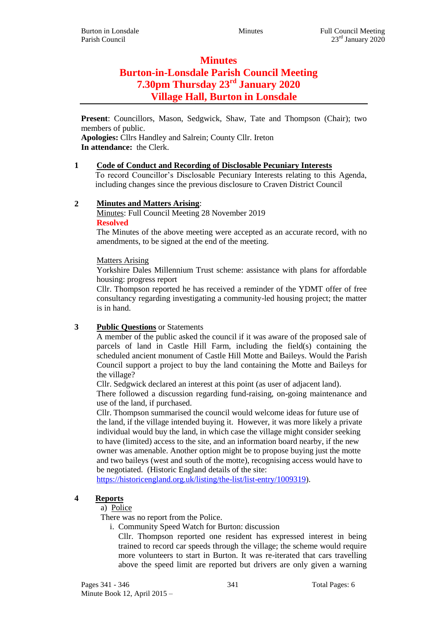# **Minutes Burton-in-Lonsdale Parish Council Meeting 7.30pm Thursday 23rd January 2020 Village Hall, Burton in Lonsdale**

**Present**: Councillors, Mason, Sedgwick, Shaw, Tate and Thompson (Chair); two members of public.

**Apologies:** Cllrs Handley and Salrein; County Cllr. Ireton **In attendance:** the Clerk.

### **1 Code of Conduct and Recording of Disclosable Pecuniary Interests**

To record Councillor's Disclosable Pecuniary Interests relating to this Agenda, including changes since the previous disclosure to Craven District Council

### **2 Minutes and Matters Arising**:

Minutes: Full Council Meeting 28 November 2019 **Resolved**

The Minutes of the above meeting were accepted as an accurate record, with no amendments, to be signed at the end of the meeting.

#### Matters Arising

Yorkshire Dales Millennium Trust scheme: assistance with plans for affordable housing: progress report

Cllr. Thompson reported he has received a reminder of the YDMT offer of free consultancy regarding investigating a community-led housing project; the matter is in hand.

# **3 Public Questions** or Statements

A member of the public asked the council if it was aware of the proposed sale of parcels of land in Castle Hill Farm, including the field(s) containing the scheduled ancient monument of Castle Hill Motte and Baileys. Would the Parish Council support a project to buy the land containing the Motte and Baileys for the village?

Cllr. Sedgwick declared an interest at this point (as user of adjacent land).

There followed a discussion regarding fund-raising, on-going maintenance and use of the land, if purchased.

Cllr. Thompson summarised the council would welcome ideas for future use of the land, if the village intended buying it. However, it was more likely a private individual would buy the land, in which case the village might consider seeking to have (limited) access to the site, and an information board nearby, if the new owner was amenable. Another option might be to propose buying just the motte and two baileys (west and south of the motte), recognising access would have to be negotiated. (Historic England details of the site:

[https://historicengland.org.uk/listing/the-list/list-entry/1009319\)](https://historicengland.org.uk/listing/the-list/list-entry/1009319).

# **4 Reports**

a) Police

There was no report from the Police.

i. Community Speed Watch for Burton: discussion

Cllr. Thompson reported one resident has expressed interest in being trained to record car speeds through the village; the scheme would require more volunteers to start in Burton. It was re-iterated that cars travelling above the speed limit are reported but drivers are only given a warning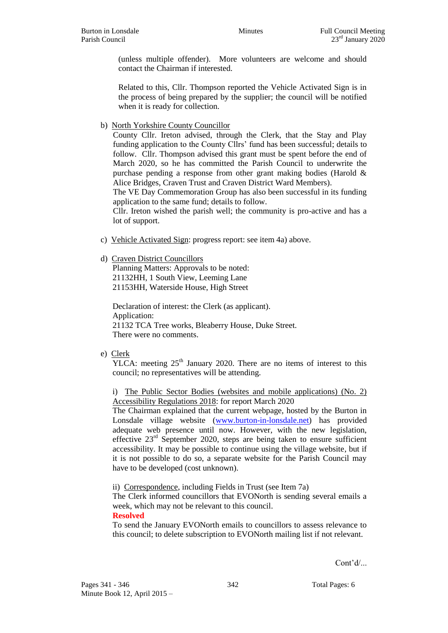(unless multiple offender). More volunteers are welcome and should contact the Chairman if interested.

Related to this, Cllr. Thompson reported the Vehicle Activated Sign is in the process of being prepared by the supplier; the council will be notified when it is ready for collection.

b) North Yorkshire County Councillor

County Cllr. Ireton advised, through the Clerk, that the Stay and Play funding application to the County Cllrs' fund has been successful; details to follow. Cllr. Thompson advised this grant must be spent before the end of March 2020, so he has committed the Parish Council to underwrite the purchase pending a response from other grant making bodies (Harold & Alice Bridges, Craven Trust and Craven District Ward Members).

The VE Day Commemoration Group has also been successful in its funding application to the same fund; details to follow.

Cllr. Ireton wished the parish well; the community is pro-active and has a lot of support.

c) Vehicle Activated Sign: progress report: see item 4a) above.

### d) Craven District Councillors

Planning Matters: Approvals to be noted: 21132HH, 1 South View, Leeming Lane 21153HH, Waterside House, High Street

Declaration of interest: the Clerk (as applicant). Application: 21132 TCA Tree works, Bleaberry House, Duke Street. There were no comments.

# e) Clerk

YLCA: meeting  $25<sup>th</sup>$  January 2020. There are no items of interest to this council; no representatives will be attending.

i) The Public Sector Bodies (websites and mobile applications) (No. 2) Accessibility Regulations 2018: for report March 2020

The Chairman explained that the current webpage, hosted by the Burton in Lonsdale village website [\(www.burton-in-lonsdale.net\)](http://www.burton-in-lonsdale.net/) has provided adequate web presence until now. However, with the new legislation, effective  $23<sup>rd</sup>$  September 2020, steps are being taken to ensure sufficient accessibility. It may be possible to continue using the village website, but if it is not possible to do so, a separate website for the Parish Council may have to be developed (cost unknown).

ii) Correspondence, including Fields in Trust (see Item 7a)

The Clerk informed councillors that EVONorth is sending several emails a week, which may not be relevant to this council.

#### **Resolved**

To send the January EVONorth emails to councillors to assess relevance to this council; to delete subscription to EVONorth mailing list if not relevant.

Cont'd/...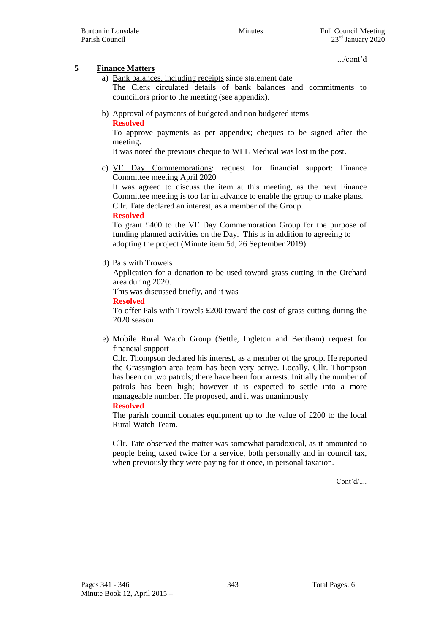.../cont'd

# **5 Finance Matters**

a) Bank balances, including receipts since statement date

The Clerk circulated details of bank balances and commitments to councillors prior to the meeting (see appendix).

b) Approval of payments of budgeted and non budgeted items **Resolved**

To approve payments as per appendix; cheques to be signed after the meeting.

It was noted the previous cheque to WEL Medical was lost in the post.

c) VE Day Commemorations: request for financial support: Finance Committee meeting April 2020

It was agreed to discuss the item at this meeting, as the next Finance Committee meeting is too far in advance to enable the group to make plans. Cllr. Tate declared an interest, as a member of the Group.

### **Resolved**

To grant £400 to the VE Day Commemoration Group for the purpose of funding planned activities on the Day. This is in addition to agreeing to adopting the project (Minute item 5d, 26 September 2019).

d) Pals with Trowels

Application for a donation to be used toward grass cutting in the Orchard area during 2020.

This was discussed briefly, and it was

#### **Resolved**

To offer Pals with Trowels £200 toward the cost of grass cutting during the 2020 season.

e) Mobile Rural Watch Group (Settle, Ingleton and Bentham) request for financial support

Cllr. Thompson declared his interest, as a member of the group. He reported the Grassington area team has been very active. Locally, Cllr. Thompson has been on two patrols; there have been four arrests. Initially the number of patrols has been high; however it is expected to settle into a more manageable number. He proposed, and it was unanimously

### **Resolved**

The parish council donates equipment up to the value of £200 to the local Rural Watch Team.

Cllr. Tate observed the matter was somewhat paradoxical, as it amounted to people being taxed twice for a service, both personally and in council tax, when previously they were paying for it once, in personal taxation.

Cont'd/....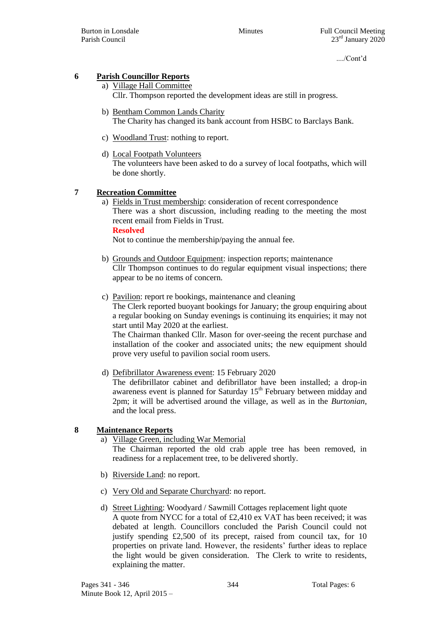Burton in Lonsdale **Euli** Council Meeting Minutes Full Council Meeting Parish Council 23<sup>rd</sup> January 2020

..../Cont'd

# **6 Parish Councillor Reports**

- a) Village Hall Committee Cllr. Thompson reported the development ideas are still in progress.
- b) Bentham Common Lands Charity The Charity has changed its bank account from HSBC to Barclays Bank.
- c) Woodland Trust: nothing to report.
- d) Local Footpath Volunteers The volunteers have been asked to do a survey of local footpaths, which will be done shortly.

### **7 Recreation Committee**

a) Fields in Trust membership: consideration of recent correspondence There was a short discussion, including reading to the meeting the most recent email from Fields in Trust. **Resolved**

Not to continue the membership/paying the annual fee.

- b) Grounds and Outdoor Equipment: inspection reports; maintenance Cllr Thompson continues to do regular equipment visual inspections; there appear to be no items of concern.
- c) Pavilion: report re bookings, maintenance and cleaning The Clerk reported buoyant bookings for January; the group enquiring about a regular booking on Sunday evenings is continuing its enquiries; it may not start until May 2020 at the earliest.

The Chairman thanked Cllr. Mason for over-seeing the recent purchase and installation of the cooker and associated units; the new equipment should prove very useful to pavilion social room users.

d) Defibrillator Awareness event: 15 February 2020

The defibrillator cabinet and defibrillator have been installed; a drop-in awareness event is planned for Saturday  $15<sup>th</sup>$  February between midday and 2pm; it will be advertised around the village, as well as in the *Burtonian*, and the local press.

# **8 Maintenance Reports**

- a) Village Green, including War Memorial The Chairman reported the old crab apple tree has been removed, in readiness for a replacement tree, to be delivered shortly.
- b) Riverside Land: no report.
- c) Very Old and Separate Churchyard: no report.
- d) Street Lighting: Woodyard / Sawmill Cottages replacement light quote A quote from NYCC for a total of £2,410 ex VAT has been received; it was debated at length. Councillors concluded the Parish Council could not justify spending  $£2,500$  of its precept, raised from council tax, for 10 properties on private land. However, the residents' further ideas to replace the light would be given consideration. The Clerk to write to residents, explaining the matter.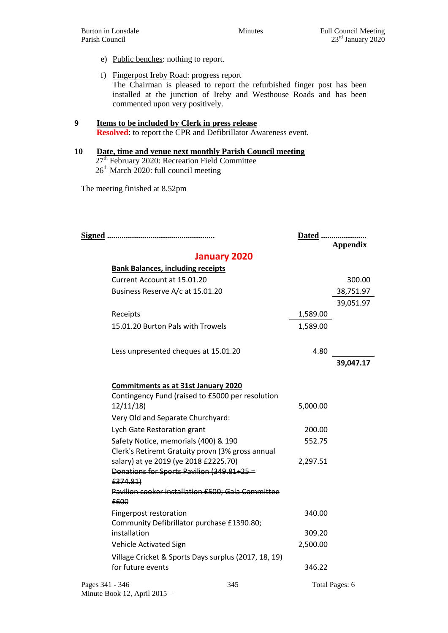- e) Public benches: nothing to report.
- f) Fingerpost Ireby Road: progress report The Chairman is pleased to report the refurbished finger post has been installed at the junction of Ireby and Westhouse Roads and has been commented upon very positively.

#### **9 Items to be included by Clerk in press release Resolved**: to report the CPR and Defibrillator Awareness event.

**10 Date, time and venue next monthly Parish Council meeting** 27<sup>th</sup> February 2020: Recreation Field Committee  $26<sup>th</sup>$  March 2020: full council meeting

The meeting finished at 8.52pm

Minute Book 12, April 2015 –

|                                          |                                                                                                                                                                                |     |                    | Dated<br><b>Appendix</b> |  |  |
|------------------------------------------|--------------------------------------------------------------------------------------------------------------------------------------------------------------------------------|-----|--------------------|--------------------------|--|--|
| <b>January 2020</b>                      |                                                                                                                                                                                |     |                    |                          |  |  |
| <b>Bank Balances, including receipts</b> |                                                                                                                                                                                |     |                    |                          |  |  |
|                                          | Current Account at 15.01.20                                                                                                                                                    |     |                    | 300.00                   |  |  |
|                                          | Business Reserve A/c at 15.01.20                                                                                                                                               |     |                    | 38,751.97                |  |  |
|                                          |                                                                                                                                                                                |     |                    | 39,051.97                |  |  |
|                                          | Receipts                                                                                                                                                                       |     | 1,589.00           |                          |  |  |
|                                          | 15.01.20 Burton Pals with Trowels                                                                                                                                              |     | 1,589.00           |                          |  |  |
|                                          | Less unpresented cheques at 15.01.20                                                                                                                                           |     | 4.80               |                          |  |  |
|                                          |                                                                                                                                                                                |     |                    | 39,047.17                |  |  |
|                                          | <b>Commitments as at 31st January 2020</b><br>Contingency Fund (raised to £5000 per resolution<br>12/11/18<br>Very Old and Separate Churchyard:<br>Lych Gate Restoration grant |     | 5,000.00<br>200.00 |                          |  |  |
|                                          | Safety Notice, memorials (400) & 190<br>Clerk's Retiremt Gratuity provn (3% gross annual                                                                                       |     | 552.75             |                          |  |  |
|                                          | salary) at ye 2019 (ye 2018 £2225.70)<br>Donations for Sports Pavilion (349.81+25 =<br>£374.81)<br>Pavilion cooker installation £500; Gala Committee                           |     | 2,297.51           |                          |  |  |
| £600                                     |                                                                                                                                                                                |     |                    |                          |  |  |
|                                          | Fingerpost restoration<br>Community Defibrillator purchase £1390.80;                                                                                                           |     | 340.00             |                          |  |  |
|                                          | installation                                                                                                                                                                   |     | 309.20             |                          |  |  |
|                                          | Vehicle Activated Sign                                                                                                                                                         |     | 2,500.00           |                          |  |  |
|                                          | Village Cricket & Sports Days surplus (2017, 18, 19)<br>for future events                                                                                                      |     | 346.22             |                          |  |  |
| Pages 341 - 346                          |                                                                                                                                                                                | 345 |                    | Total Pages: 6           |  |  |